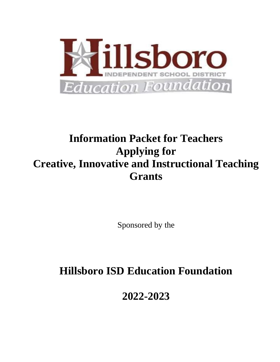

# **Information Packet for Teachers Applying for Creative, Innovative and Instructional Teaching Grants**

Sponsored by the

## **Hillsboro ISD Education Foundation**

**2022-2023**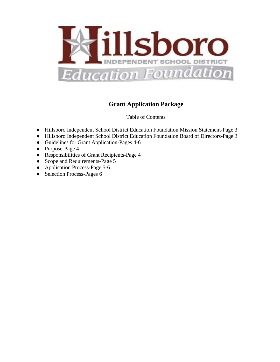

### **Grant Application Package**

Table of Contents

- Hillsboro Independent School District Education Foundation Mission Statement-Page 3
- Hillsboro Independent School District Education Foundation Board of Directors-Page 3
- Guidelines for Grant Application-Pages 4-6
- Purpose-Page 4
- Responsibilities of Grant Recipients-Page 4
- Scope and Requirements-Page 5
- Application Process-Page 5-6
- Selection Process-Pages 6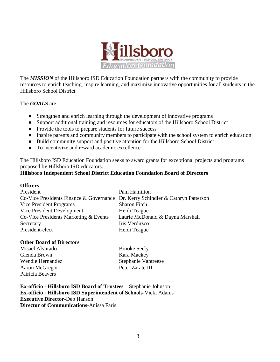

The *MISSION* of the Hillsboro ISD Education Foundation partners with the community to provide resources to enrich teaching, inspire learning, and maximize innovative opportunities for all students in the Hillsboro School District.

The *GOALS* are:

- Strengthen and enrich learning through the development of innovative programs
- Support additional training and resources for educators of the Hillsboro School District
- Provide the tools to prepare students for future success
- Inspire parents and community members to participate with the school system to enrich education
- Build community support and positive attention for the Hillsboro School District
- To incentivize and reward academic excellence

The Hillsboro ISD Education Foundation seeks to award grants for exceptional projects and programs proposed by Hillsboro ISD educators.

#### **Hillsboro Independent School District Education Foundation Board of Directors**

#### **Officers**

| President                                                                       | Pam Hamilton                     |
|---------------------------------------------------------------------------------|----------------------------------|
| Co-Vice Presidents Finance & Governance Dr. Kerry Schindler & Cathryn Patterson |                                  |
| Vice President Programs                                                         | <b>Sharon Fitch</b>              |
| Vice President Development                                                      | Heidi Teague                     |
| Co-Vice Presidents Marketing & Events                                           | Laurie McDonald & Dayna Marshall |
| Secretary                                                                       | Iris Verduzco                    |
| President-elect                                                                 | Heidi Teague                     |
|                                                                                 |                                  |

#### **Other Board of Directors**

Misael Alvarado Brooke Seely Glenda Brown Kara Mackey Aaron McGregor Peter Zarate III Patricia Beavers

Wendie Hernandez Stephanie Vantreese

**Ex-officio - Hillsboro ISD Board of Trustees –** Stephanie Johnson **Ex-officio** - **Hillsboro ISD Superintendent of Schools**-Vicki Adams **Executive Director-**Deb Hanson **Director of Communications**-Anissa Faris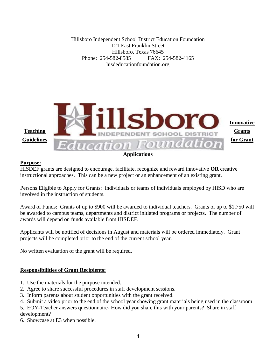Hillsboro Independent School District Education Foundation 121 East Franklin Street Hillsboro, Texas 76645 Phone: 254-582-8585 FAX: 254-582-4165 hisdeducationfoundation.org



#### **Purpose:**

HISDEF grants are designed to encourage, facilitate, recognize and reward innovative **OR** creative instructional approaches. This can be a new project or an enhancement of an existing grant.

Persons Eligible to Apply for Grants: Individuals or teams of individuals employed by HISD who are involved in the instruction of students.

Award of Funds: Grants of up to \$900 will be awarded to individual teachers. Grants of up to \$1,750 will be awarded to campus teams, departments and district initiated programs or projects. The number of awards will depend on funds available from HISDEF.

Applicants will be notified of decisions in August and materials will be ordered immediately. Grant projects will be completed prior to the end of the current school year.

No written evaluation of the grant will be required.

#### **Responsibilities of Grant Recipients:**

- 1. Use the materials for the purpose intended.
- 2. Agree to share successful procedures in staff development sessions.
- 3. Inform parents about student opportunities with the grant received.
- 4. Submit a video prior to the end of the school year showing grant materials being used in the classroom.
- 5. EOY-Teacher answers questionnaire- How did you share this with your parents? Share in staff development?
- 6. Showcase at E3 when possible.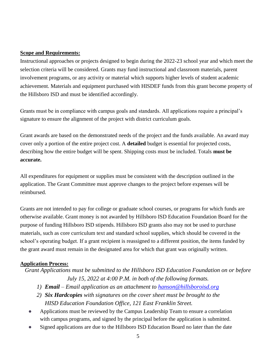#### **Scope and Requirements:**

Instructional approaches or projects designed to begin during the 2022-23 school year and which meet the selection criteria will be considered. Grants may fund instructional and classroom materials, parent involvement programs, or any activity or material which supports higher levels of student academic achievement. Materials and equipment purchased with HISDEF funds from this grant become property of the Hillsboro ISD and must be identified accordingly.

Grants must be in compliance with campus goals and standards. All applications require a principal's signature to ensure the alignment of the project with district curriculum goals.

Grant awards are based on the demonstrated needs of the project and the funds available. An award may cover only a portion of the entire project cost. A **detailed** budget is essential for projected costs, describing how the entire budget will be spent. Shipping costs must be included. Totals **must be accurate.**

All expenditures for equipment or supplies must be consistent with the description outlined in the application. The Grant Committee must approve changes to the project before expenses will be reimbursed.

Grants are not intended to pay for college or graduate school courses, or programs for which funds are otherwise available. Grant money is not awarded by Hillsboro ISD Education Foundation Board for the purpose of funding Hillsboro ISD stipends. Hillsboro ISD grants also may not be used to purchase materials, such as core curriculum text and standard school supplies, which should be covered in the school's operating budget. If a grant recipient is reassigned to a different position, the items funded by the grant award must remain in the designated area for which that grant was originally written.

#### **Application Process:**

*Grant Applications must be submitted to the Hillsboro ISD Education Foundation on or before July 15, 2022 at 4:00 P.M. in both of the following formats.*

- *1) Email – Email application as an attachment to [hanson@hillsboroisd.org](mailto:hanson@hillsboroisd.org)*
- *2) Six Hardcopies with signatures on the cover sheet must be brought to the HISD Education Foundation Office, 121 East Franklin Street.*
- Applications must be reviewed by the Campus Leadership Team to ensure a correlation with campus programs, and signed by the principal before the application is submitted.
- Signed applications are due to the Hillsboro ISD Education Board no later than the date